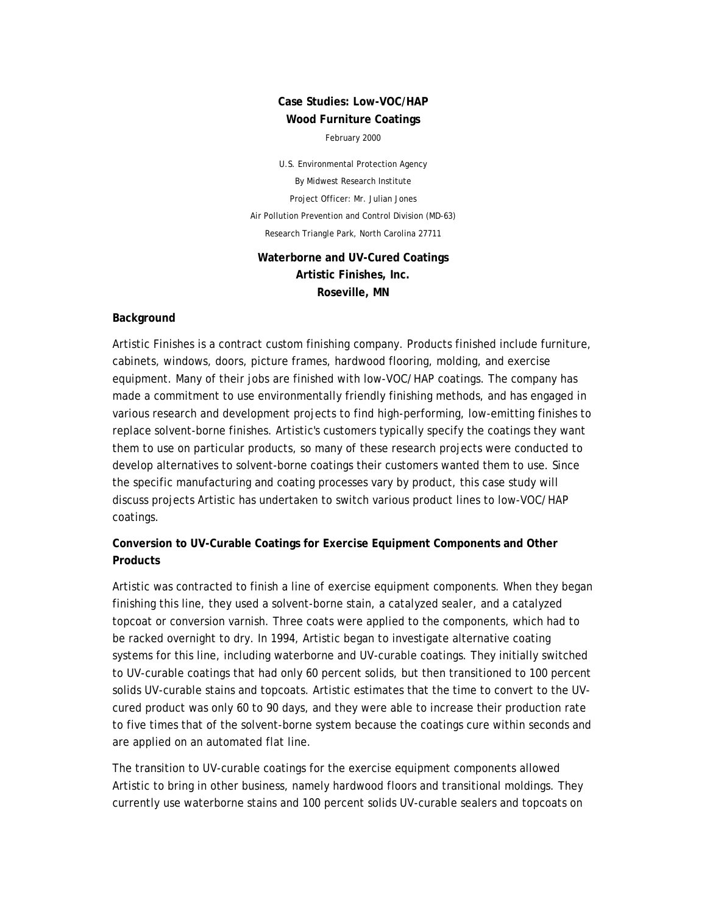# **Case Studies: Low-VOC/HAP Wood Furniture Coatings**

February 2000

U.S. Environmental Protection Agency By Midwest Research Institute Project Officer: Mr. Julian Jones Air Pollution Prevention and Control Division (MD-63) Research Triangle Park, North Carolina 27711

## **Waterborne and UV-Cured Coatings Artistic Finishes, Inc. Roseville, MN**

#### **Background**

Artistic Finishes is a contract custom finishing company. Products finished include furniture, cabinets, windows, doors, picture frames, hardwood flooring, molding, and exercise equipment. Many of their jobs are finished with low-VOC/HAP coatings. The company has made a commitment to use environmentally friendly finishing methods, and has engaged in various research and development projects to find high-performing, low-emitting finishes to replace solvent-borne finishes. Artistic's customers typically specify the coatings they want them to use on particular products, so many of these research projects were conducted to develop alternatives to solvent-borne coatings their customers wanted them to use. Since the specific manufacturing and coating processes vary by product, this case study will discuss projects Artistic has undertaken to switch various product lines to low-VOC/HAP coatings.

# **Conversion to UV-Curable Coatings for Exercise Equipment Components and Other Products**

Artistic was contracted to finish a line of exercise equipment components. When they began finishing this line, they used a solvent-borne stain, a catalyzed sealer, and a catalyzed topcoat or conversion varnish. Three coats were applied to the components, which had to be racked overnight to dry. In 1994, Artistic began to investigate alternative coating systems for this line, including waterborne and UV-curable coatings. They initially switched to UV-curable coatings that had only 60 percent solids, but then transitioned to 100 percent solids UV-curable stains and topcoats. Artistic estimates that the time to convert to the UVcured product was only 60 to 90 days, and they were able to increase their production rate to five times that of the solvent-borne system because the coatings cure within seconds and are applied on an automated flat line.

The transition to UV-curable coatings for the exercise equipment components allowed Artistic to bring in other business, namely hardwood floors and transitional moldings. They currently use waterborne stains and 100 percent solids UV-curable sealers and topcoats on